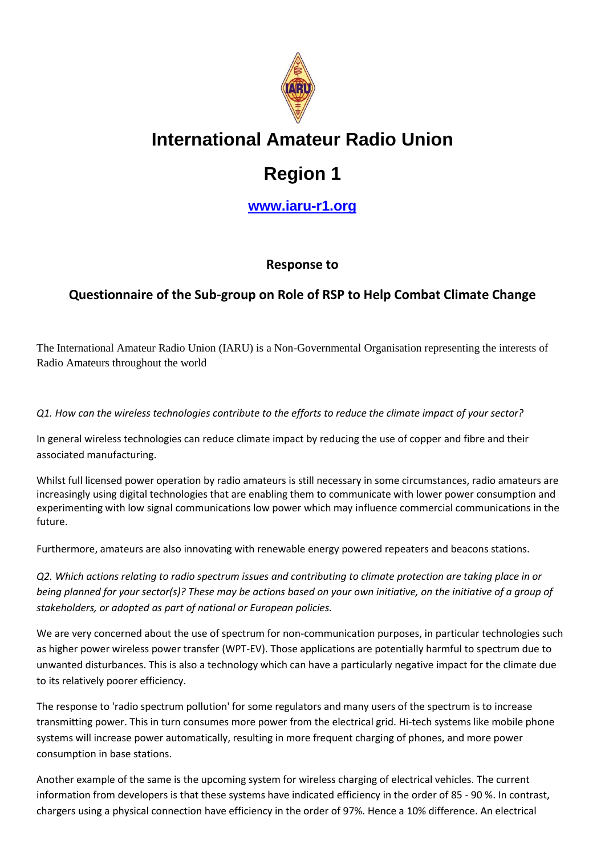

## **International Amateur Radio Union**

# **Region 1**

**<www.iaru-r1.org>**

### **Response to**

## **Questionnaire of the Sub-group on Role of RSP to Help Combat Climate Change**

The International Amateur Radio Union (IARU) is a Non-Governmental Organisation representing the interests of Radio Amateurs throughout the world

*Q1. How can the wireless technologies contribute to the efforts to reduce the climate impact of your sector?*

In general wireless technologies can reduce climate impact by reducing the use of copper and fibre and their associated manufacturing.

Whilst full licensed power operation by radio amateurs is still necessary in some circumstances, radio amateurs are increasingly using digital technologies that are enabling them to communicate with lower power consumption and experimenting with low signal communications low power which may influence commercial communications in the future.

Furthermore, amateurs are also innovating with renewable energy powered repeaters and beacons stations.

*Q2. Which actions relating to radio spectrum issues and contributing to climate protection are taking place in or being planned for your sector(s)? These may be actions based on your own initiative, on the initiative of a group of stakeholders, or adopted as part of national or European policies.*

We are very concerned about the use of spectrum for non-communication purposes, in particular technologies such as higher power wireless power transfer (WPT-EV). Those applications are potentially harmful to spectrum due to unwanted disturbances. This is also a technology which can have a particularly negative impact for the climate due to its relatively poorer efficiency.

The response to 'radio spectrum pollution' for some regulators and many users of the spectrum is to increase transmitting power. This in turn consumes more power from the electrical grid. Hi-tech systems like mobile phone systems will increase power automatically, resulting in more frequent charging of phones, and more power consumption in base stations.

Another example of the same is the upcoming system for wireless charging of electrical vehicles. The current information from developers is that these systems have indicated efficiency in the order of 85 - 90 %. In contrast, chargers using a physical connection have efficiency in the order of 97%. Hence a 10% difference. An electrical